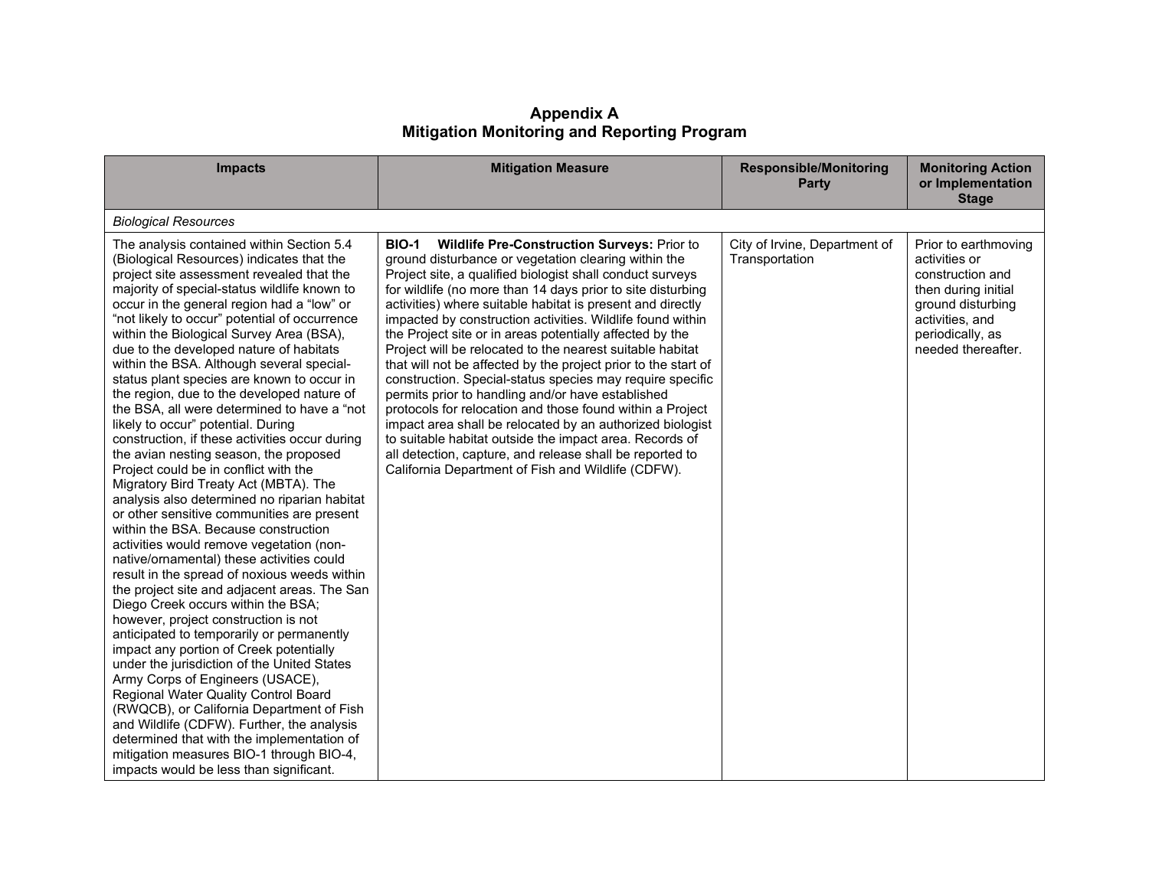**Appendix A Mitigation Monitoring and Reporting Program**

| <b>Impacts</b>                                                                                                                                                                                                                                                                                                                                                                                                                                                                                                                                                                                                                                                                                                                                                                                                                                                                                                                                                                                                                                                                                                                                                                                                                                                                                                                                                                                                                                                                                                                                                                                                                                        | <b>Mitigation Measure</b>                                                                                                                                                                                                                                                                                                                                                                                                                                                                                                                                                                                                                                                                                                                                                                                                                                                                                                                                                                              | <b>Responsible/Monitoring</b><br><b>Party</b>   | <b>Monitoring Action</b><br>or Implementation<br><b>Stage</b>                                                                                                      |
|-------------------------------------------------------------------------------------------------------------------------------------------------------------------------------------------------------------------------------------------------------------------------------------------------------------------------------------------------------------------------------------------------------------------------------------------------------------------------------------------------------------------------------------------------------------------------------------------------------------------------------------------------------------------------------------------------------------------------------------------------------------------------------------------------------------------------------------------------------------------------------------------------------------------------------------------------------------------------------------------------------------------------------------------------------------------------------------------------------------------------------------------------------------------------------------------------------------------------------------------------------------------------------------------------------------------------------------------------------------------------------------------------------------------------------------------------------------------------------------------------------------------------------------------------------------------------------------------------------------------------------------------------------|--------------------------------------------------------------------------------------------------------------------------------------------------------------------------------------------------------------------------------------------------------------------------------------------------------------------------------------------------------------------------------------------------------------------------------------------------------------------------------------------------------------------------------------------------------------------------------------------------------------------------------------------------------------------------------------------------------------------------------------------------------------------------------------------------------------------------------------------------------------------------------------------------------------------------------------------------------------------------------------------------------|-------------------------------------------------|--------------------------------------------------------------------------------------------------------------------------------------------------------------------|
| <b>Biological Resources</b>                                                                                                                                                                                                                                                                                                                                                                                                                                                                                                                                                                                                                                                                                                                                                                                                                                                                                                                                                                                                                                                                                                                                                                                                                                                                                                                                                                                                                                                                                                                                                                                                                           |                                                                                                                                                                                                                                                                                                                                                                                                                                                                                                                                                                                                                                                                                                                                                                                                                                                                                                                                                                                                        |                                                 |                                                                                                                                                                    |
| The analysis contained within Section 5.4<br>(Biological Resources) indicates that the<br>project site assessment revealed that the<br>majority of special-status wildlife known to<br>occur in the general region had a "low" or<br>"not likely to occur" potential of occurrence<br>within the Biological Survey Area (BSA),<br>due to the developed nature of habitats<br>within the BSA. Although several special-<br>status plant species are known to occur in<br>the region, due to the developed nature of<br>the BSA, all were determined to have a "not<br>likely to occur" potential. During<br>construction, if these activities occur during<br>the avian nesting season, the proposed<br>Project could be in conflict with the<br>Migratory Bird Treaty Act (MBTA). The<br>analysis also determined no riparian habitat<br>or other sensitive communities are present<br>within the BSA. Because construction<br>activities would remove vegetation (non-<br>native/ornamental) these activities could<br>result in the spread of noxious weeds within<br>the project site and adjacent areas. The San<br>Diego Creek occurs within the BSA;<br>however, project construction is not<br>anticipated to temporarily or permanently<br>impact any portion of Creek potentially<br>under the jurisdiction of the United States<br>Army Corps of Engineers (USACE),<br>Regional Water Quality Control Board<br>(RWQCB), or California Department of Fish<br>and Wildlife (CDFW). Further, the analysis<br>determined that with the implementation of<br>mitigation measures BIO-1 through BIO-4,<br>impacts would be less than significant. | <b>BIO-1</b><br><b>Wildlife Pre-Construction Surveys: Prior to</b><br>ground disturbance or vegetation clearing within the<br>Project site, a qualified biologist shall conduct surveys<br>for wildlife (no more than 14 days prior to site disturbing<br>activities) where suitable habitat is present and directly<br>impacted by construction activities. Wildlife found within<br>the Project site or in areas potentially affected by the<br>Project will be relocated to the nearest suitable habitat<br>that will not be affected by the project prior to the start of<br>construction. Special-status species may require specific<br>permits prior to handling and/or have established<br>protocols for relocation and those found within a Project<br>impact area shall be relocated by an authorized biologist<br>to suitable habitat outside the impact area. Records of<br>all detection, capture, and release shall be reported to<br>California Department of Fish and Wildlife (CDFW). | City of Irvine, Department of<br>Transportation | Prior to earthmoving<br>activities or<br>construction and<br>then during initial<br>ground disturbing<br>activities, and<br>periodically, as<br>needed thereafter. |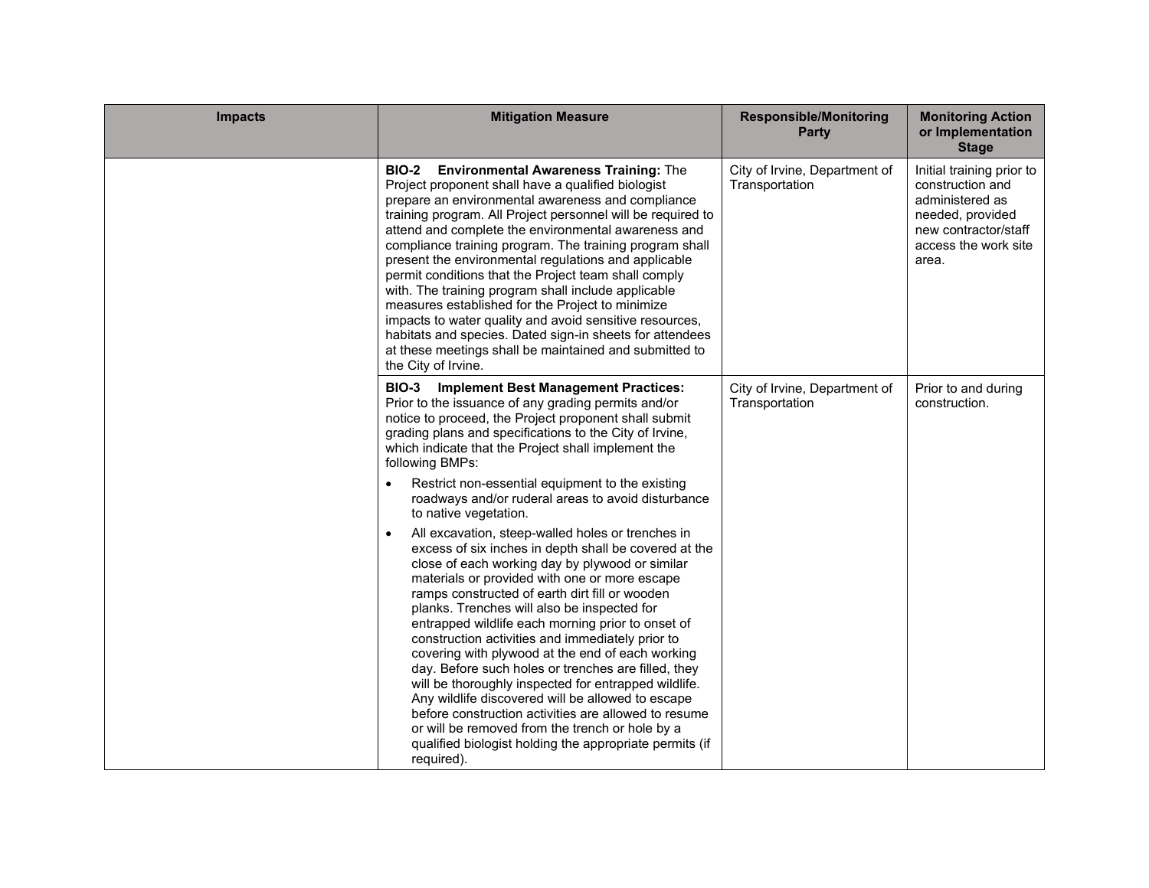| <b>Impacts</b> | <b>Mitigation Measure</b>                                                                                                                                                                                                                                                                                                                                                                                                                                                                                                                                                                                                                                                                                                                                                                                                                         | <b>Responsible/Monitoring</b><br><b>Party</b>   | <b>Monitoring Action</b><br>or Implementation<br><b>Stage</b>                                                                                 |
|----------------|---------------------------------------------------------------------------------------------------------------------------------------------------------------------------------------------------------------------------------------------------------------------------------------------------------------------------------------------------------------------------------------------------------------------------------------------------------------------------------------------------------------------------------------------------------------------------------------------------------------------------------------------------------------------------------------------------------------------------------------------------------------------------------------------------------------------------------------------------|-------------------------------------------------|-----------------------------------------------------------------------------------------------------------------------------------------------|
|                | <b>BIO-2</b> Environmental Awareness Training: The<br>Project proponent shall have a qualified biologist<br>prepare an environmental awareness and compliance<br>training program. All Project personnel will be required to<br>attend and complete the environmental awareness and<br>compliance training program. The training program shall<br>present the environmental regulations and applicable<br>permit conditions that the Project team shall comply<br>with. The training program shall include applicable<br>measures established for the Project to minimize<br>impacts to water quality and avoid sensitive resources,<br>habitats and species. Dated sign-in sheets for attendees<br>at these meetings shall be maintained and submitted to<br>the City of Irvine.                                                                 | City of Irvine, Department of<br>Transportation | Initial training prior to<br>construction and<br>administered as<br>needed, provided<br>new contractor/staff<br>access the work site<br>area. |
|                | <b>BIO-3</b> Implement Best Management Practices:<br>Prior to the issuance of any grading permits and/or<br>notice to proceed, the Project proponent shall submit<br>grading plans and specifications to the City of Irvine,<br>which indicate that the Project shall implement the<br>following BMPs:                                                                                                                                                                                                                                                                                                                                                                                                                                                                                                                                            | City of Irvine, Department of<br>Transportation | Prior to and during<br>construction.                                                                                                          |
|                | Restrict non-essential equipment to the existing<br>$\bullet$<br>roadways and/or ruderal areas to avoid disturbance<br>to native vegetation.                                                                                                                                                                                                                                                                                                                                                                                                                                                                                                                                                                                                                                                                                                      |                                                 |                                                                                                                                               |
|                | All excavation, steep-walled holes or trenches in<br>$\bullet$<br>excess of six inches in depth shall be covered at the<br>close of each working day by plywood or similar<br>materials or provided with one or more escape<br>ramps constructed of earth dirt fill or wooden<br>planks. Trenches will also be inspected for<br>entrapped wildlife each morning prior to onset of<br>construction activities and immediately prior to<br>covering with plywood at the end of each working<br>day. Before such holes or trenches are filled, they<br>will be thoroughly inspected for entrapped wildlife.<br>Any wildlife discovered will be allowed to escape<br>before construction activities are allowed to resume<br>or will be removed from the trench or hole by a<br>qualified biologist holding the appropriate permits (if<br>required). |                                                 |                                                                                                                                               |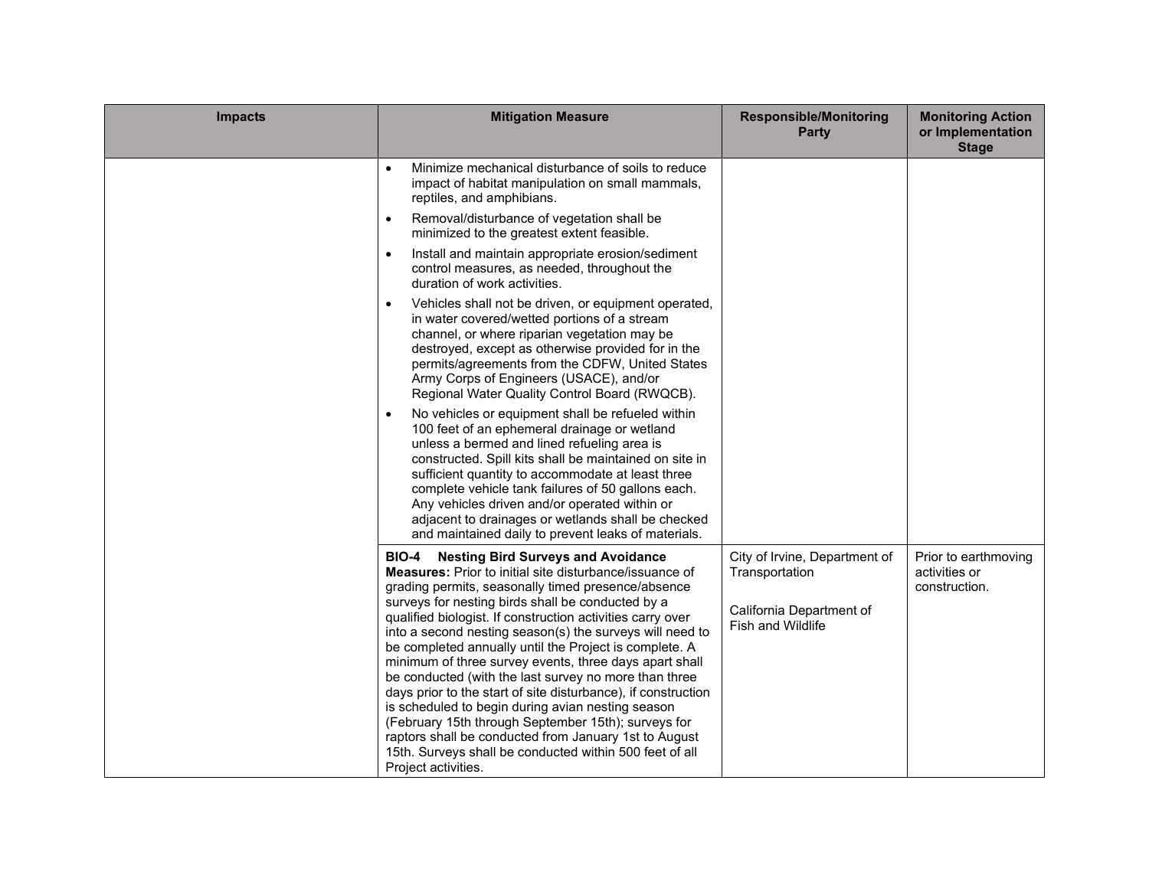| <b>Impacts</b> | <b>Mitigation Measure</b>                                                                                                                                                                                                                                                                                                                                                                                                                                                                                                                                                                                                                                                                                                                                                                                                                                             | <b>Responsible/Monitoring</b><br>Party                                                                  | <b>Monitoring Action</b><br>or Implementation<br><b>Stage</b> |
|----------------|-----------------------------------------------------------------------------------------------------------------------------------------------------------------------------------------------------------------------------------------------------------------------------------------------------------------------------------------------------------------------------------------------------------------------------------------------------------------------------------------------------------------------------------------------------------------------------------------------------------------------------------------------------------------------------------------------------------------------------------------------------------------------------------------------------------------------------------------------------------------------|---------------------------------------------------------------------------------------------------------|---------------------------------------------------------------|
|                | Minimize mechanical disturbance of soils to reduce<br>$\bullet$<br>impact of habitat manipulation on small mammals,<br>reptiles, and amphibians.                                                                                                                                                                                                                                                                                                                                                                                                                                                                                                                                                                                                                                                                                                                      |                                                                                                         |                                                               |
|                | Removal/disturbance of vegetation shall be<br>$\bullet$<br>minimized to the greatest extent feasible.                                                                                                                                                                                                                                                                                                                                                                                                                                                                                                                                                                                                                                                                                                                                                                 |                                                                                                         |                                                               |
|                | Install and maintain appropriate erosion/sediment<br>$\bullet$<br>control measures, as needed, throughout the<br>duration of work activities.                                                                                                                                                                                                                                                                                                                                                                                                                                                                                                                                                                                                                                                                                                                         |                                                                                                         |                                                               |
|                | Vehicles shall not be driven, or equipment operated,<br>$\bullet$<br>in water covered/wetted portions of a stream<br>channel, or where riparian vegetation may be<br>destroyed, except as otherwise provided for in the<br>permits/agreements from the CDFW, United States<br>Army Corps of Engineers (USACE), and/or<br>Regional Water Quality Control Board (RWQCB).                                                                                                                                                                                                                                                                                                                                                                                                                                                                                                |                                                                                                         |                                                               |
|                | No vehicles or equipment shall be refueled within<br>$\bullet$<br>100 feet of an ephemeral drainage or wetland<br>unless a bermed and lined refueling area is<br>constructed. Spill kits shall be maintained on site in<br>sufficient quantity to accommodate at least three<br>complete vehicle tank failures of 50 gallons each.<br>Any vehicles driven and/or operated within or<br>adjacent to drainages or wetlands shall be checked<br>and maintained daily to prevent leaks of materials.                                                                                                                                                                                                                                                                                                                                                                      |                                                                                                         |                                                               |
|                | <b>Nesting Bird Surveys and Avoidance</b><br><b>BIO-4</b><br><b>Measures:</b> Prior to initial site disturbance/issuance of<br>grading permits, seasonally timed presence/absence<br>surveys for nesting birds shall be conducted by a<br>qualified biologist. If construction activities carry over<br>into a second nesting season(s) the surveys will need to<br>be completed annually until the Project is complete. A<br>minimum of three survey events, three days apart shall<br>be conducted (with the last survey no more than three<br>days prior to the start of site disturbance), if construction<br>is scheduled to begin during avian nesting season<br>(February 15th through September 15th); surveys for<br>raptors shall be conducted from January 1st to August<br>15th. Surveys shall be conducted within 500 feet of all<br>Project activities. | City of Irvine, Department of<br>Transportation<br>California Department of<br><b>Fish and Wildlife</b> | Prior to earthmoving<br>activities or<br>construction.        |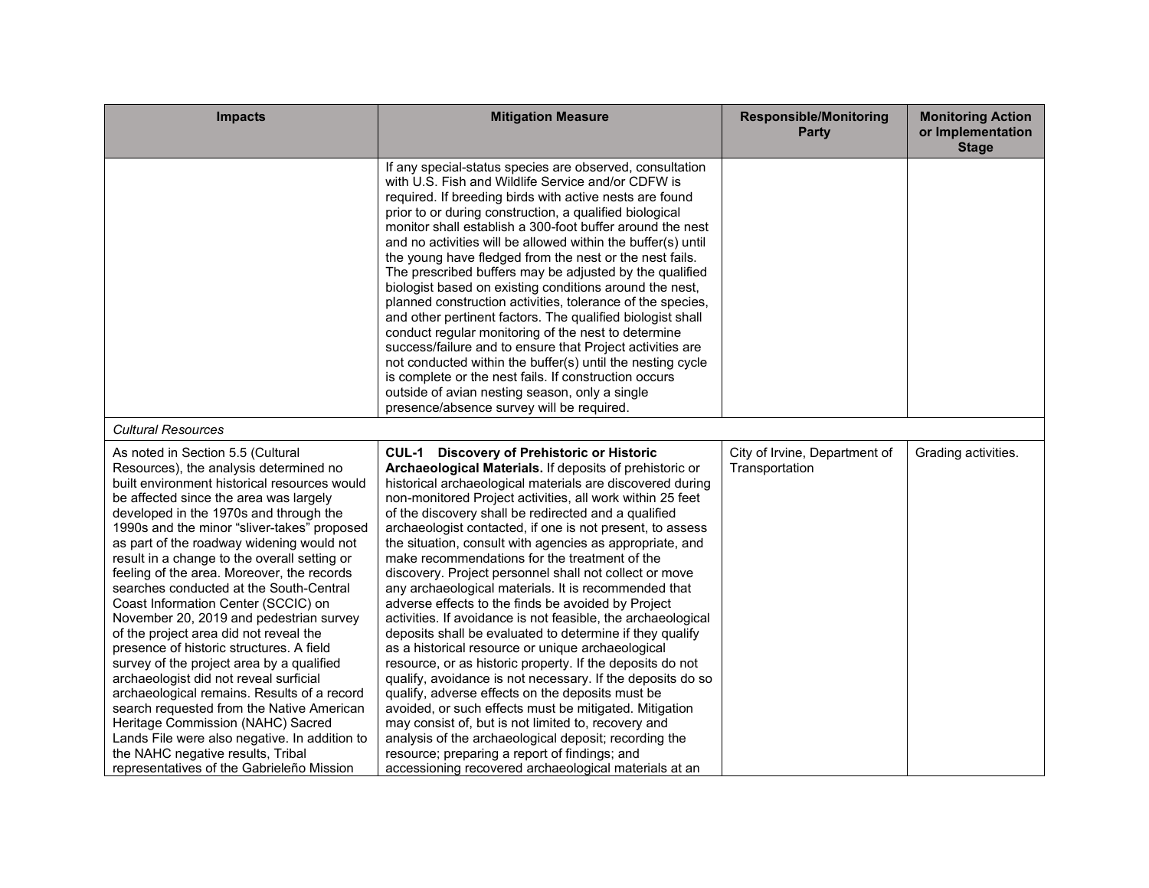| <b>Impacts</b>                                                                                                                                                                                                                                                                                                                                                                                                                                                                                                                                                                                                                                                                                                                                                                                                                                                                                                                                                                          | <b>Mitigation Measure</b>                                                                                                                                                                                                                                                                                                                                                                                                                                                                                                                                                                                                                                                                                                                                                                                                                                                                                                                                                                                                                                                                                                                                                                                                                                                                            | <b>Responsible/Monitoring</b><br><b>Party</b>   | <b>Monitoring Action</b><br>or Implementation<br><b>Stage</b> |
|-----------------------------------------------------------------------------------------------------------------------------------------------------------------------------------------------------------------------------------------------------------------------------------------------------------------------------------------------------------------------------------------------------------------------------------------------------------------------------------------------------------------------------------------------------------------------------------------------------------------------------------------------------------------------------------------------------------------------------------------------------------------------------------------------------------------------------------------------------------------------------------------------------------------------------------------------------------------------------------------|------------------------------------------------------------------------------------------------------------------------------------------------------------------------------------------------------------------------------------------------------------------------------------------------------------------------------------------------------------------------------------------------------------------------------------------------------------------------------------------------------------------------------------------------------------------------------------------------------------------------------------------------------------------------------------------------------------------------------------------------------------------------------------------------------------------------------------------------------------------------------------------------------------------------------------------------------------------------------------------------------------------------------------------------------------------------------------------------------------------------------------------------------------------------------------------------------------------------------------------------------------------------------------------------------|-------------------------------------------------|---------------------------------------------------------------|
|                                                                                                                                                                                                                                                                                                                                                                                                                                                                                                                                                                                                                                                                                                                                                                                                                                                                                                                                                                                         | If any special-status species are observed, consultation<br>with U.S. Fish and Wildlife Service and/or CDFW is<br>required. If breeding birds with active nests are found<br>prior to or during construction, a qualified biological<br>monitor shall establish a 300-foot buffer around the nest<br>and no activities will be allowed within the buffer(s) until<br>the young have fledged from the nest or the nest fails.<br>The prescribed buffers may be adjusted by the qualified<br>biologist based on existing conditions around the nest,<br>planned construction activities, tolerance of the species,<br>and other pertinent factors. The qualified biologist shall<br>conduct regular monitoring of the nest to determine<br>success/failure and to ensure that Project activities are<br>not conducted within the buffer(s) until the nesting cycle<br>is complete or the nest fails. If construction occurs<br>outside of avian nesting season, only a single<br>presence/absence survey will be required.                                                                                                                                                                                                                                                                             |                                                 |                                                               |
| <b>Cultural Resources</b>                                                                                                                                                                                                                                                                                                                                                                                                                                                                                                                                                                                                                                                                                                                                                                                                                                                                                                                                                               |                                                                                                                                                                                                                                                                                                                                                                                                                                                                                                                                                                                                                                                                                                                                                                                                                                                                                                                                                                                                                                                                                                                                                                                                                                                                                                      |                                                 |                                                               |
| As noted in Section 5.5 (Cultural<br>Resources), the analysis determined no<br>built environment historical resources would<br>be affected since the area was largely<br>developed in the 1970s and through the<br>1990s and the minor "sliver-takes" proposed<br>as part of the roadway widening would not<br>result in a change to the overall setting or<br>feeling of the area. Moreover, the records<br>searches conducted at the South-Central<br>Coast Information Center (SCCIC) on<br>November 20, 2019 and pedestrian survey<br>of the project area did not reveal the<br>presence of historic structures. A field<br>survey of the project area by a qualified<br>archaeologist did not reveal surficial<br>archaeological remains. Results of a record<br>search requested from the Native American<br>Heritage Commission (NAHC) Sacred<br>Lands File were also negative. In addition to<br>the NAHC negative results, Tribal<br>representatives of the Gabrieleño Mission | <b>CUL-1 Discovery of Prehistoric or Historic</b><br>Archaeological Materials. If deposits of prehistoric or<br>historical archaeological materials are discovered during<br>non-monitored Project activities, all work within 25 feet<br>of the discovery shall be redirected and a qualified<br>archaeologist contacted, if one is not present, to assess<br>the situation, consult with agencies as appropriate, and<br>make recommendations for the treatment of the<br>discovery. Project personnel shall not collect or move<br>any archaeological materials. It is recommended that<br>adverse effects to the finds be avoided by Project<br>activities. If avoidance is not feasible, the archaeological<br>deposits shall be evaluated to determine if they qualify<br>as a historical resource or unique archaeological<br>resource, or as historic property. If the deposits do not<br>qualify, avoidance is not necessary. If the deposits do so<br>qualify, adverse effects on the deposits must be<br>avoided, or such effects must be mitigated. Mitigation<br>may consist of, but is not limited to, recovery and<br>analysis of the archaeological deposit; recording the<br>resource; preparing a report of findings; and<br>accessioning recovered archaeological materials at an | City of Irvine, Department of<br>Transportation | Grading activities.                                           |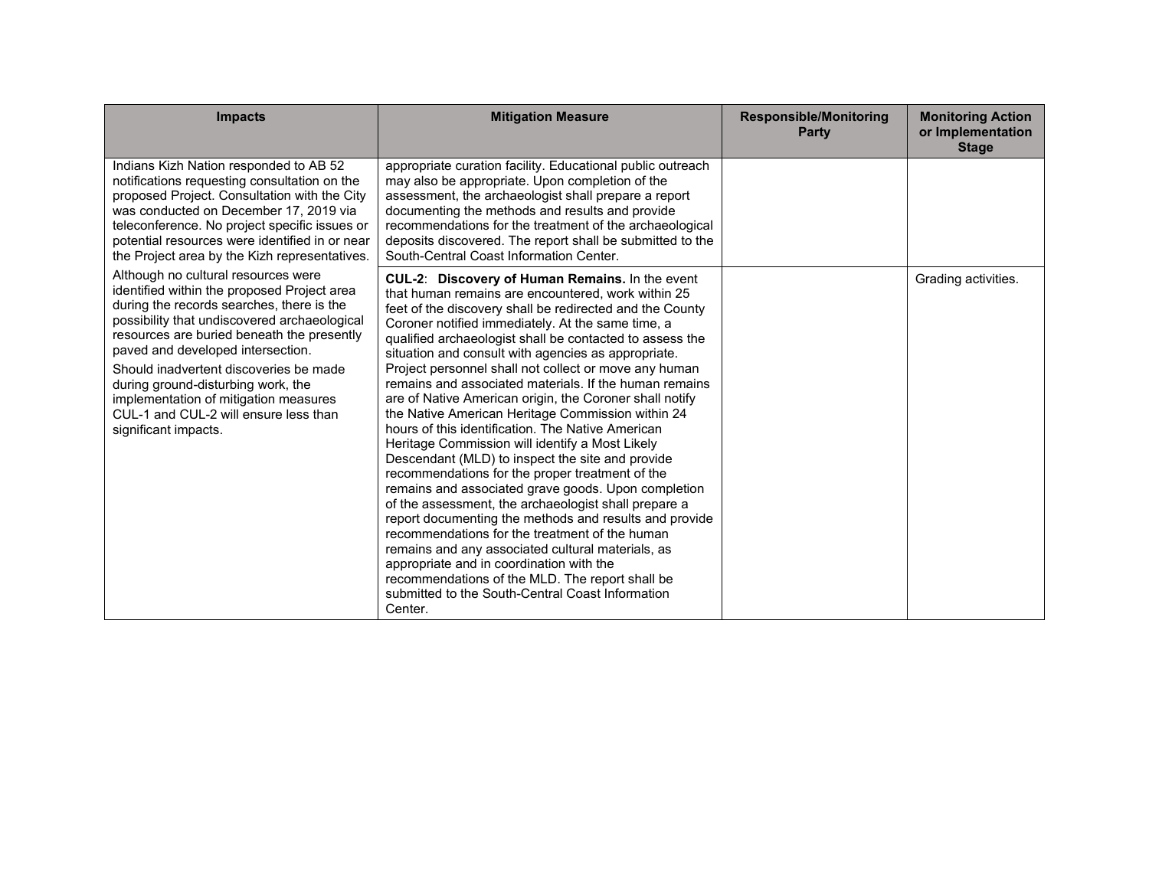| <b>Impacts</b>                                                                                                                                                                                                                                                                                                                                                                                                                                               | <b>Mitigation Measure</b>                                                                                                                                                                                                                                                                                                                                                                                                                                                                                                                                                                                                                                                                                                                                                                                                                                                                                                                                                                                                                                                                                                                                                                                                                 | <b>Responsible/Monitoring</b><br><b>Party</b> | <b>Monitoring Action</b><br>or Implementation<br><b>Stage</b> |
|--------------------------------------------------------------------------------------------------------------------------------------------------------------------------------------------------------------------------------------------------------------------------------------------------------------------------------------------------------------------------------------------------------------------------------------------------------------|-------------------------------------------------------------------------------------------------------------------------------------------------------------------------------------------------------------------------------------------------------------------------------------------------------------------------------------------------------------------------------------------------------------------------------------------------------------------------------------------------------------------------------------------------------------------------------------------------------------------------------------------------------------------------------------------------------------------------------------------------------------------------------------------------------------------------------------------------------------------------------------------------------------------------------------------------------------------------------------------------------------------------------------------------------------------------------------------------------------------------------------------------------------------------------------------------------------------------------------------|-----------------------------------------------|---------------------------------------------------------------|
| Indians Kizh Nation responded to AB 52<br>notifications requesting consultation on the<br>proposed Project. Consultation with the City<br>was conducted on December 17, 2019 via<br>teleconference. No project specific issues or<br>potential resources were identified in or near<br>the Project area by the Kizh representatives.                                                                                                                         | appropriate curation facility. Educational public outreach<br>may also be appropriate. Upon completion of the<br>assessment, the archaeologist shall prepare a report<br>documenting the methods and results and provide<br>recommendations for the treatment of the archaeological<br>deposits discovered. The report shall be submitted to the<br>South-Central Coast Information Center.                                                                                                                                                                                                                                                                                                                                                                                                                                                                                                                                                                                                                                                                                                                                                                                                                                               |                                               |                                                               |
| Although no cultural resources were<br>identified within the proposed Project area<br>during the records searches, there is the<br>possibility that undiscovered archaeological<br>resources are buried beneath the presently<br>paved and developed intersection.<br>Should inadvertent discoveries be made<br>during ground-disturbing work, the<br>implementation of mitigation measures<br>CUL-1 and CUL-2 will ensure less than<br>significant impacts. | CUL-2: Discovery of Human Remains. In the event<br>that human remains are encountered, work within 25<br>feet of the discovery shall be redirected and the County<br>Coroner notified immediately. At the same time, a<br>qualified archaeologist shall be contacted to assess the<br>situation and consult with agencies as appropriate.<br>Project personnel shall not collect or move any human<br>remains and associated materials. If the human remains<br>are of Native American origin, the Coroner shall notify<br>the Native American Heritage Commission within 24<br>hours of this identification. The Native American<br>Heritage Commission will identify a Most Likely<br>Descendant (MLD) to inspect the site and provide<br>recommendations for the proper treatment of the<br>remains and associated grave goods. Upon completion<br>of the assessment, the archaeologist shall prepare a<br>report documenting the methods and results and provide<br>recommendations for the treatment of the human<br>remains and any associated cultural materials, as<br>appropriate and in coordination with the<br>recommendations of the MLD. The report shall be<br>submitted to the South-Central Coast Information<br>Center. |                                               | Grading activities.                                           |